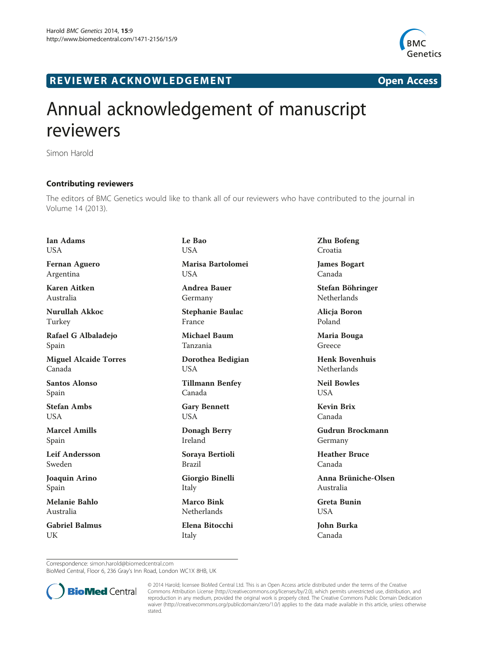

## R EVI EW E R ACKNOW L EDG EM EN T Open Access



## Annual acknowledgement of manuscript reviewers

Simon Harold

## Contributing reviewers

The editors of BMC Genetics would like to thank all of our reviewers who have contributed to the journal in Volume 14 (2013).

Ian Adams **USA** Fernan Aguero Argentina Karen Aitken Australia

Nurullah Akkoc Turkey

Rafael G Albaladejo Spain

Miguel Alcaide Torres Canada

Santos Alonso Spain

Stefan Ambs USA

Marcel Amills Spain

Leif Andersson Sweden

Joaquin Arino Spain

Melanie Bahlo Australia

Gabriel Balmus UK

Le Bao **USA** Marisa Bartolomei **USA** 

Andrea Bauer Germany

Stephanie Baulac France

Michael Baum Tanzania

Dorothea Bedigian USA

Tillmann Benfey Canada

Gary Bennett USA

Donagh Berry Ireland

Soraya Bertioli Brazil

Giorgio Binelli Italy

Marco Bink Netherlands

Elena Bitocchi Italy

Zhu Bofeng Croatia

James Bogart Canada

Stefan Böhringer Netherlands

Alicja Boron Poland

Maria Bouga Greece

Henk Bovenhuis **Netherlands** 

Neil Bowles USA

Kevin Brix Canada

Gudrun Brockmann Germany

Heather Bruce Canada

Anna Brüniche-Olsen Australia

Greta Bunin USA

John Burka Canada

Correspondence: [simon.harold@biomedcentral.com](mailto:simon.harold@biomedcentral.com)

BioMed Central, Floor 6, 236 Gray's Inn Road, London WC1X 8HB, UK



© 2014 Harold; licensee BioMed Central Ltd. This is an Open Access article distributed under the terms of the Creative Commons Attribution License [\(http://creativecommons.org/licenses/by/2.0\)](http://creativecommons.org/licenses/by/2.0), which permits unrestricted use, distribution, and reproduction in any medium, provided the original work is properly cited. The Creative Commons Public Domain Dedication waiver [\(http://creativecommons.org/publicdomain/zero/1.0/\)](http://creativecommons.org/publicdomain/zero/1.0/) applies to the data made available in this article, unless otherwise stated.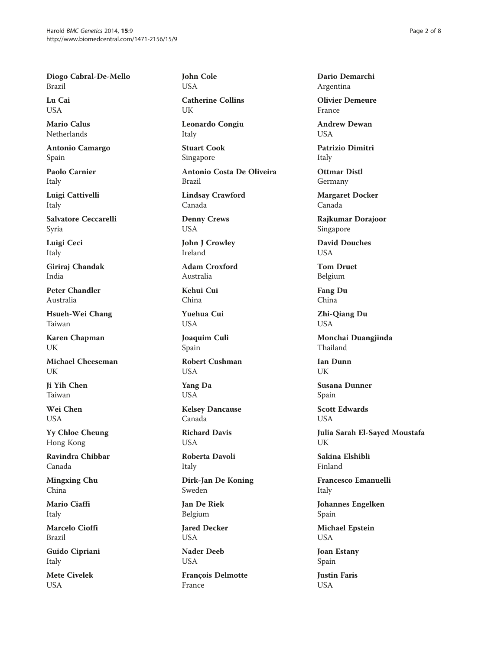Diogo Cabral-De-Mello Brazil

Lu Cai USA

Mario Calus Netherlands

Antonio Camargo Spain

Paolo Carnier Italy

Luigi Cattivelli Italy

Salvatore Ceccarelli Syria

Luigi Ceci Italy

Giriraj Chandak India

Peter Chandler Australia

Hsueh-Wei Chang Taiwan

Karen Chapman UK

Michael Cheeseman I IK

Ji Yih Chen Taiwan

Wei Chen **USA** 

Yy Chloe Cheung Hong Kong

Ravindra Chibbar Canada

Mingxing Chu China

Mario Ciaffi Italy

Marcelo Cioffi Brazil

Guido Cipriani Italy

Mete Civelek USA

John Cole USA

Catherine Collins UK

Leonardo Congiu Italy

Stuart Cook Singapore

Antonio Costa De Oliveira Brazil

Lindsay Crawford Canada

Denny Crews USA

John J Crowley Ireland

Adam Croxford Australia

Kehui Cui China

Yuehua Cui USA

Joaquim Culi Spain

Robert Cushman **USA** 

Yang Da USA

Kelsey Dancause Canada

Richard Davis USA

Roberta Davoli Italy

Dirk-Jan De Koning Sweden

Jan De Riek Belgium

Jared Decker USA

Nader Deeb USA

François Delmotte France

Dario Demarchi Argentina

Olivier Demeure France

Andrew Dewan **USA** 

Patrizio Dimitri Italy

Ottmar Distl Germany

Margaret Docker Canada

Rajkumar Dorajoor Singapore

David Douches USA

Tom Druet Belgium

Fang Du China

Zhi-Qiang Du USA

Monchai Duangjinda Thailand

Ian Dunn UK

Susana Dunner Spain

Scott Edwards **USA** 

Julia Sarah El-Sayed Moustafa UK

Sakina Elshibli Finland

Francesco Emanuelli Italy

Johannes Engelken Spain

Michael Epstein USA

Joan Estany Spain

Justin Faris USA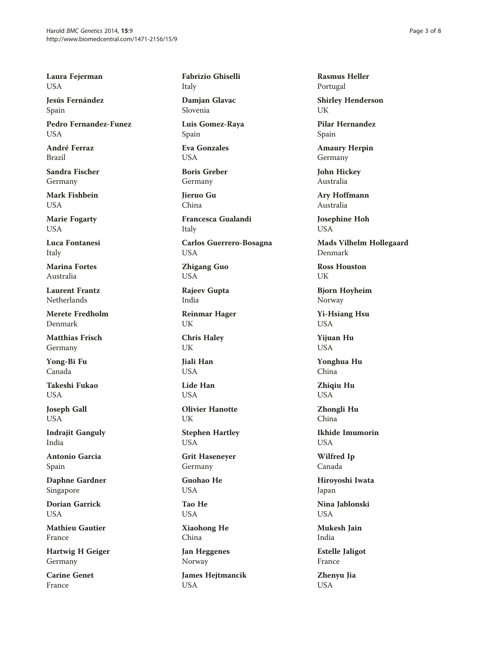Laura Fejerman USA

Jesús Fernández Spain

Pedro Fernandez-Funez **USA** 

André Ferraz Brazil

Sandra Fischer Germany

Mark Fishbein USA

Marie Fogarty USA

Luca Fontanesi Italy

Marina Fortes Australia

Laurent Frantz Netherlands

Merete Fredholm Denmark

Matthias Frisch Germany

Yong-Bi Fu Canada

Takeshi Fukao USA

Joseph Gall **USA** 

Indrajit Ganguly India

Antonio Garcia Spain

Daphne Gardner Singapore

Dorian Garrick USA

Mathieu Gautier France

Hartwig H Geiger Germany

Carine Genet France

Fabrizio Ghiselli Italy

Damjan Glavac Slovenia

Luis Gomez-Raya Spain

Eva Gonzales USA

Boris Greber Germany

Jieruo Gu China

Francesca Gualandi Italy

Carlos Guerrero-Bosagna USA

Zhigang Guo USA

Rajeev Gupta India

Reinmar Hager UK

Chris Haley UK

Jiali Han **USA** 

Lide Han **USA** 

Olivier Hanotte UK

Stephen Hartley USA

Grit Haseneyer Germany

Guohao He USA

Tao He USA

Xiaohong He China

Jan Heggenes Norway

James Hejtmancik USA

Rasmus Heller Portugal

Shirley Henderson UK

Pilar Hernandez Spain

Amaury Herpin Germany

John Hickey Australia

Ary Hoffmann Australia

Josephine Hoh USA

Mads Vilhelm Hollegaard Denmark

Ross Houston UK

Bjorn Hoyheim Norway

Yi-Hsiang Hsu USA

Yijuan Hu **USA** 

Yonghua Hu China

Zhiqiu Hu USA

Zhongli Hu China

Ikhide Imumorin USA

Wilfred Ip Canada

Hiroyoshi Iwata Japan

Nina Jablonski USA

Mukesh Jain India

Estelle Jaligot France

Zhenyu Jia USA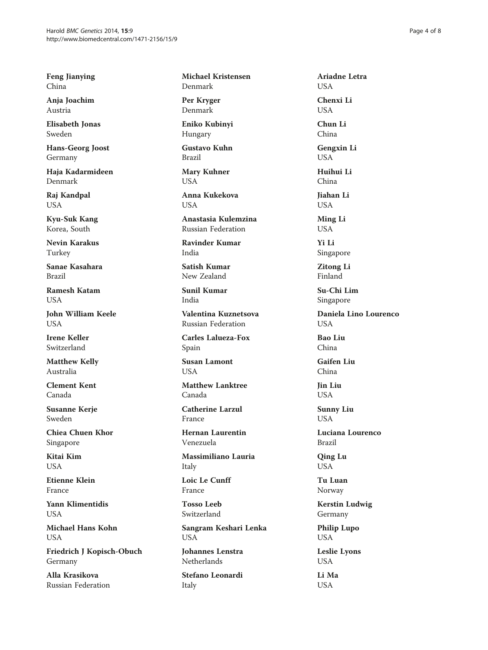Feng Jianying China

Anja Joachim Austria

Elisabeth Jonas Sweden

Hans-Georg Joost Germany

Haja Kadarmideen Denmark

Raj Kandpal USA

Kyu-Suk Kang Korea, South

Nevin Karakus Turkey

Sanae Kasahara Brazil

Ramesh Katam **USA** 

John William Keele **USA** 

Irene Keller Switzerland

Matthew Kelly Australia

Clement Kent Canada

Susanne Kerje Sweden

Chiea Chuen Khor Singapore

Kitai Kim **USA** 

Etienne Klein France

Yann Klimentidis USA

Michael Hans Kohn USA

Friedrich J Kopisch-Obuch Germany

Alla Krasikova Russian Federation Michael Kristensen Denmark

Per Kryger Denmark

Eniko Kubinyi Hungary

Gustavo Kuhn Brazil

Mary Kuhner USA

Anna Kukekova **USA** 

Anastasia Kulemzina Russian Federation

Ravinder Kumar India

Satish Kumar New Zealand

Sunil Kumar India

Valentina Kuznetsova Russian Federation

Carles Lalueza-Fox Spain

Susan Lamont **USA** 

Matthew Lanktree Canada

Catherine Larzul France

Hernan Laurentin Venezuela

Massimiliano Lauria Italy

Loic Le Cunff France

Tosso Leeb Switzerland

Sangram Keshari Lenka USA

Johannes Lenstra Netherlands

Stefano Leonardi Italy

Ariadne Letra USA Chenxi Li USA Chun Li China

Gengxin Li USA

Huihui Li China

Jiahan Li USA

Ming Li USA

- Yi Li Singapore
- Zitong Li Finland

Su-Chi Lim Singapore

Daniela Lino Lourenco **USA** 

Bao Liu China

Gaifen Liu China

Jin Liu USA

Sunny Liu USA

Luciana Lourenco Brazil

Qing Lu USA

Tu Luan Norway

Kerstin Ludwig Germany

Philip Lupo USA

Leslie Lyons USA

Li Ma USA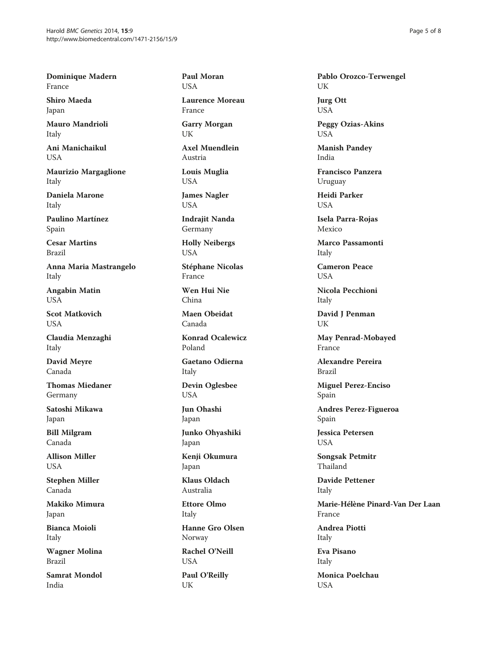Dominique Madern France

Shiro Maeda Japan

Mauro Mandrioli Italy

Ani Manichaikul USA

Maurizio Margaglione Italy

Daniela Marone Italy

Paulino Martínez Spain

Cesar Martins Brazil

Anna Maria Mastrangelo Italy

Angabin Matin USA

Scot Matkovich USA

Claudia Menzaghi Italy

David Meyre Canada

Thomas Miedaner Germany

Satoshi Mikawa Japan

Bill Milgram Canada

Allison Miller USA

Stephen Miller Canada

Makiko Mimura Japan

Bianca Moioli Italy

Wagner Molina Brazil

Samrat Mondol India

Paul Moran USA

Laurence Moreau France

Garry Morgan UK

Axel Muendlein Austria

Louis Muglia USA

James Nagler USA

Indrajit Nanda Germany

Holly Neibergs USA

Stéphane Nicolas France

Wen Hui Nie China

Maen Obeidat Canada

Konrad Ocalewicz Poland

Gaetano Odierna Italy

Devin Oglesbee USA

Jun Ohashi Japan

Junko Ohyashiki Japan

Kenji Okumura Japan

Klaus Oldach Australia

Ettore Olmo Italy Hanne Gro Olsen Norway Rachel O'Neill USA

Paul O'Reilly UK

Pablo Orozco-Terwengel UK

Jurg Ott USA

Peggy Ozias-Akins USA

Manish Pandey India

Francisco Panzera Uruguay

Heidi Parker USA

Isela Parra-Rojas Mexico

Marco Passamonti Italy

Cameron Peace **USA** 

Nicola Pecchioni Italy

David J Penman UK

May Penrad-Mobayed France

Alexandre Pereira Brazil

Miguel Perez-Enciso Spain

Andres Perez-Figueroa Spain

Jessica Petersen USA

Songsak Petmitr Thailand

Davide Pettener Italy

Marie-Hélène Pinard-Van Der Laan France

Andrea Piotti Italy

Eva Pisano Italy

Monica Poelchau USA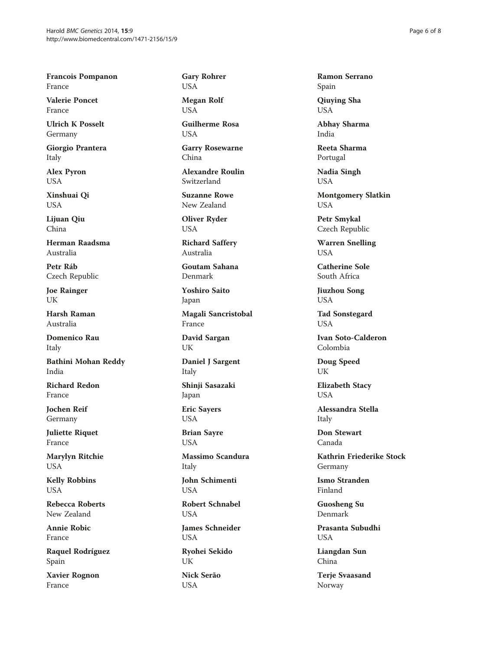Francois Pompanon France

Valerie Poncet France

Ulrich K Posselt Germany

Giorgio Prantera Italy

Alex Pyron USA

Xinshuai Qi USA

Lijuan Qiu China

Herman Raadsma Australia

Petr Ráb Czech Republic

Joe Rainger UK

Harsh Raman Australia

Domenico Rau Italy

Bathini Mohan Reddy India

Richard Redon France

Jochen Reif Germany

Juliette Riquet France

Marylyn Ritchie USA

Kelly Robbins USA

Rebecca Roberts New Zealand

Annie Robic France

Raquel Rodríguez Spain

Xavier Rognon France

Gary Rohrer USA

Megan Rolf USA

Guilherme Rosa **USA** 

Garry Rosewarne China

Alexandre Roulin Switzerland

Suzanne Rowe New Zealand

Oliver Ryder USA

Richard Saffery Australia

Goutam Sahana Denmark

Yoshiro Saito Japan

Magali Sancristobal France

David Sargan UK

Daniel J Sargent Italy

Shinji Sasazaki Japan

Eric Sayers USA

Brian Sayre USA

Massimo Scandura Italy

John Schimenti USA

Robert Schnabel USA

James Schneider USA

Ryohei Sekido UK

Nick Serão USA

Ramon Serrano Spain

Qiuying Sha USA

Abhay Sharma India

Reeta Sharma Portugal

Nadia Singh USA

Montgomery Slatkin USA

Petr Smykal Czech Republic

Warren Snelling USA

Catherine Sole South Africa

Jiuzhou Song USA

Tad Sonstegard **USA** 

Ivan Soto-Calderon Colombia

Doug Speed UK

Elizabeth Stacy **USA** 

Alessandra Stella Italy

Don Stewart Canada

Kathrin Friederike Stock Germany

Ismo Stranden Finland

Guosheng Su Denmark

Prasanta Subudhi USA

Liangdan Sun China

Terje Svaasand Norway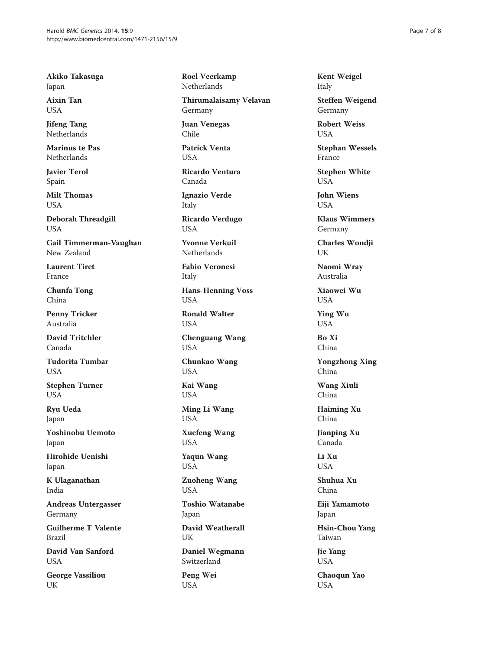Akiko Takasuga Japan

Aixin Tan USA

Jifeng Tang Netherlands

Marinus te Pas Netherlands

Javier Terol Spain

Milt Thomas USA

Deborah Threadgill USA

Gail Timmerman-Vaughan New Zealand

Laurent Tiret France

Chunfa Tong China

Penny Tricker Australia

David Tritchler Canada

Tudorita Tumbar **USA** 

Stephen Turner USA

Ryu Ueda Japan

Yoshinobu Uemoto Japan

Hirohide Uenishi Japan

K Ulaganathan India

Andreas Untergasser Germany

Guilherme T Valente Brazil

David Van Sanford USA

George Vassiliou UK

Roel Veerkamp Netherlands

Thirumalaisamy Velavan Germany

Juan Venegas Chile

Patrick Venta USA

Ricardo Ventura Canada

Ignazio Verde Italy

Ricardo Verdugo USA

Yvonne Verkuil **Netherlands** 

Fabio Veronesi Italy

Hans-Henning Voss USA

Ronald Walter USA

Chenguang Wang USA

Chunkao Wang USA

Kai Wang USA

Ming Li Wang USA

Xuefeng Wang USA

Yaqun Wang USA

Zuoheng Wang USA

Toshio Watanabe Japan

David Weatherall UK

Daniel Wegmann Switzerland

Peng Wei USA

Kent Weigel Italy

Steffen Weigend Germany

Robert Weiss **USA** 

Stephan Wessels France

Stephen White USA

John Wiens **USA** 

Klaus Wimmers Germany

Charles Wondji UK

Naomi Wray Australia

Xiaowei Wu USA

Ying Wu USA

Bo Xi China

Yongzhong Xing China

Wang Xiuli China

Haiming Xu China

Jianping Xu Canada

Li Xu USA

Shuhua Xu China

Eiji Yamamoto Japan

Hsin-Chou Yang Taiwan

Jie Yang USA

Chaoqun Yao USA